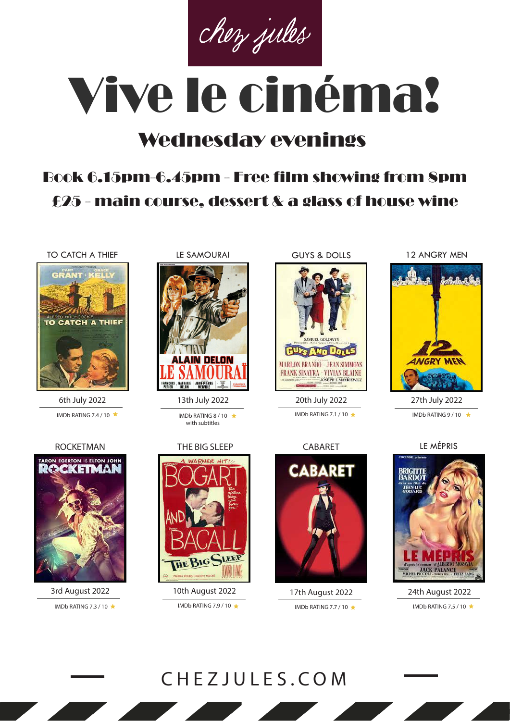chez jules

# Vive le cinéma!

# Wednesday evenings

# Book 6.15pm-6.45pm - Free film showing from 8pm £25 - main course, dessert & a glass of house wine

TO CATCH A THIEF LE SAMOURAI



6th July 2022 IMDb RATING 7.4 / 10  $\star$  IMDb RATING 8 / 10  $\star$ 



with subtitles



IMDb RATING 7.3 / 10  $\star$  IMDb RATING 7.9 / 10  $\star$ 



IMDb RATING 7.1 / 10

CABARET

**CABARET** 

IMDb RATING 7.7 / 10  $\triangle$ 

GUYS & DOLLS 12 ANGRY MEN



IMDb RATING 9/10  $\rightarrow$ 



17th August 2022 24th August 2022 IMDb RATING 7.5 / 10  $\star$ 



3rd August 2022 10th August 2022



13th July 2022 20th July 2022 27th July 2022

ROCKETMAN THE BIG SLEEP CABARET LE MÉPRIS

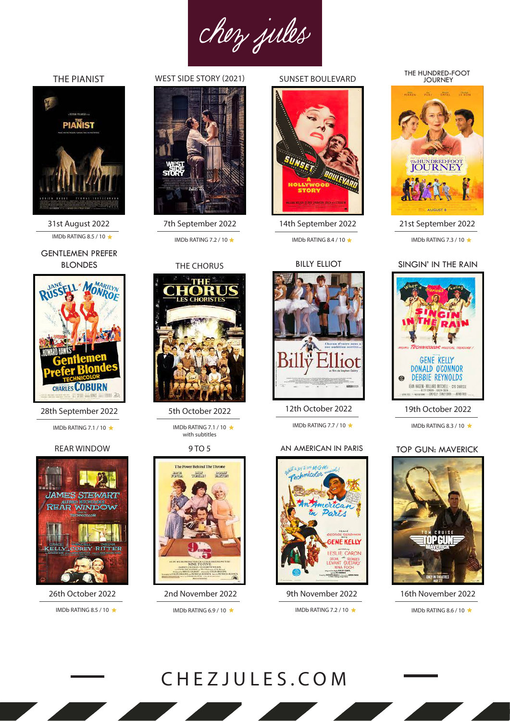chez jules

# THE PIANIST



31st August 2022 IMDb RATING 8.5 / 10  $\star$  IMDb RATING 7.2 / 10  $\star$ 

GENTLEMEN PREFER BLONDES



28th September 2022

IMDb RATING 7.1 / 10

#### REAR WINDOW



26th October 2022 IMDb RATING 8.5 / 10

# WEST SIDE STORY (2021)



7th September 2022

### THE CHORUS



5th October 2022

IMDb RATING 7.1 / 10 with subtitles

9 TO 5



2nd November 2022

## SUNSET BOULEVARD



14th September 2022

#### **BILLY ELLIOT**



12th October 2022

IMDb RATING 7.7 / 10

#### AN AMERICAN IN PARIS



#### THE HUNDRED-FOOT JOURNEY



21st September 2022 IMDb RATING 8.4 / 10  $\star$  IMDb RATING 7.3 / 10  $\star$ 

#### SINGIN' IN THE RAIN



## 19th October 2022

IMDb RATING 8.3 / 10

# TOP GUN: MAVERICK



9th November 2022 16th November 2022

IMDb RATING 6.9 / 10 ★ IMDb RATING 7.2 / 10 ★ IMDb RATING 8.6 / 10 ★

# CHEZJULES.COM